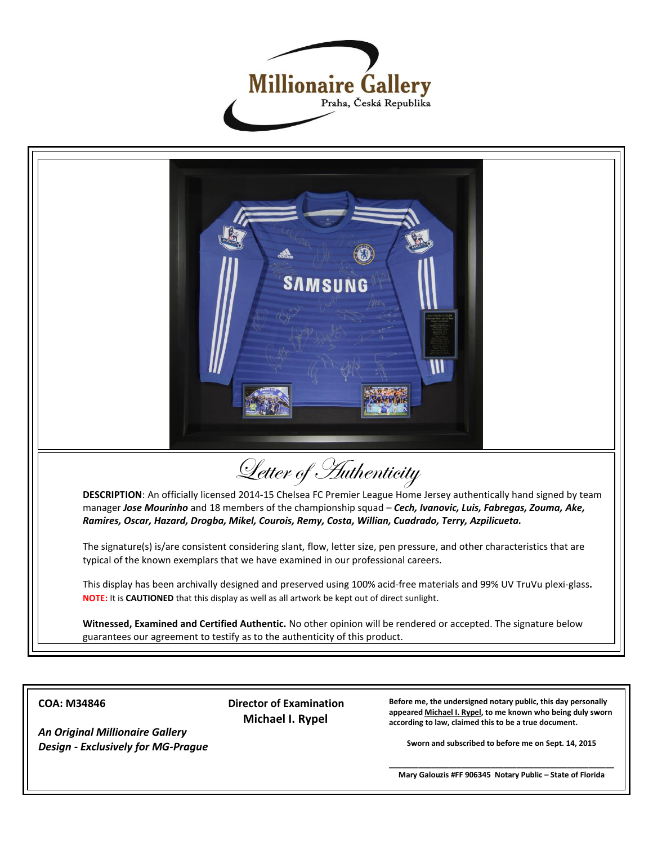



**COA: M34846**

*An Original Millionaire Gallery Design - Exclusively for MG-Prague*  **Director of Examination Michael I. Rypel**

**Before me, the undersigned notary public, this day personally appeared Michael I. Rypel, to me known who being duly sworn according to law, claimed this to be a true document.**

**Sworn and subscribed to before me on Sept. 14, 2015**

**\_\_\_\_\_\_\_\_\_\_\_\_\_\_\_\_\_\_\_\_\_\_\_\_\_\_\_\_\_\_\_\_\_\_\_\_\_\_\_\_\_\_\_\_\_\_\_\_\_\_\_\_\_ Mary Galouzis #FF 906345 Notary Public – State of Florida**